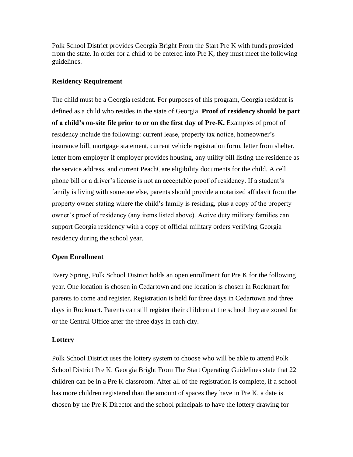Polk School District provides Georgia Bright From the Start Pre K with funds provided from the state. In order for a child to be entered into Pre K, they must meet the following guidelines.

## **Residency Requirement**

The child must be a Georgia resident. For purposes of this program, Georgia resident is defined as a child who resides in the state of Georgia. **Proof of residency should be part of a child's on-site file prior to or on the first day of Pre-K.** Examples of proof of residency include the following: current lease, property tax notice, homeowner's insurance bill, mortgage statement, current vehicle registration form, letter from shelter, letter from employer if employer provides housing, any utility bill listing the residence as the service address, and current PeachCare eligibility documents for the child. A cell phone bill or a driver's license is not an acceptable proof of residency. If a student's family is living with someone else, parents should provide a notarized affidavit from the property owner stating where the child's family is residing, plus a copy of the property owner's proof of residency (any items listed above). Active duty military families can support Georgia residency with a copy of official military orders verifying Georgia residency during the school year.

## **Open Enrollment**

Every Spring, Polk School District holds an open enrollment for Pre K for the following year. One location is chosen in Cedartown and one location is chosen in Rockmart for parents to come and register. Registration is held for three days in Cedartown and three days in Rockmart. Parents can still register their children at the school they are zoned for or the Central Office after the three days in each city.

## **Lottery**

Polk School District uses the lottery system to choose who will be able to attend Polk School District Pre K. Georgia Bright From The Start Operating Guidelines state that 22 children can be in a Pre K classroom. After all of the registration is complete, if a school has more children registered than the amount of spaces they have in Pre K, a date is chosen by the Pre K Director and the school principals to have the lottery drawing for